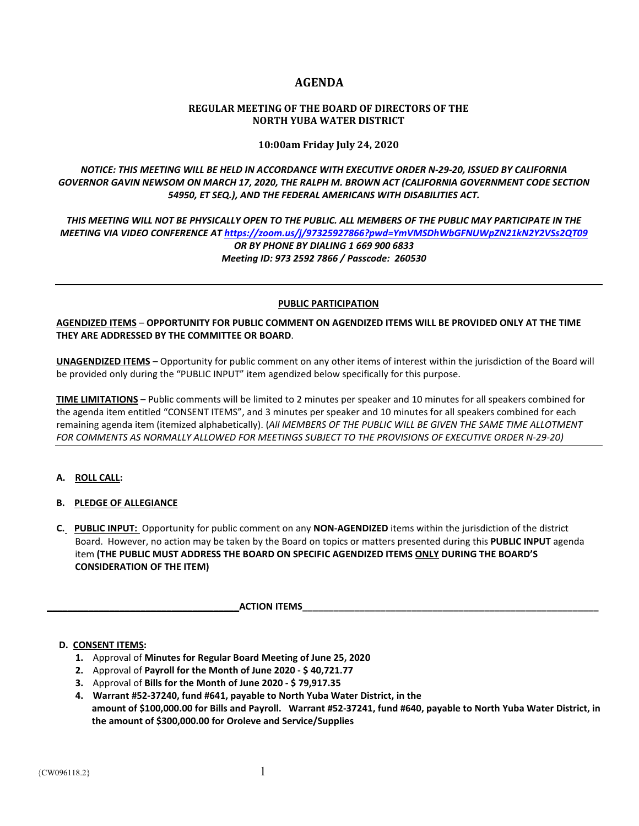# **AGENDA**

## **REGULAR MEETING OF THE BOARD OF DIRECTORS OF THE NORTH YUBA WATER DISTRICT**

**10:00am Friday July 24, 2020**

*NOTICE: THIS MEETING WILL BE HELD IN ACCORDANCE WITH EXECUTIVE ORDER N-29-20, ISSUED BY CALIFORNIA GOVERNOR GAVIN NEWSOM ON MARCH 17, 2020, THE RALPH M. BROWN ACT (CALIFORNIA GOVERNMENT CODE SECTION 54950, ET SEQ.), AND THE FEDERAL AMERICANS WITH DISABILITIES ACT.* 

*THIS MEETING WILL NOT BE PHYSICALLY OPEN TO THE PUBLIC. ALL MEMBERS OF THE PUBLIC MAY PARTICIPATE IN THE MEETING VIA VIDEO CONFERENCE AT<https://zoom.us/j/97325927866?pwd=YmVMSDhWbGFNUWpZN21kN2Y2VSs2QT09> OR BY PHONE BY DIALING 1 669 900 6833 Meeting ID: 973 2592 7866 / Passcode: 260530*

## **PUBLIC PARTICIPATION**

**AGENDIZED ITEMS** – **OPPORTUNITY FOR PUBLIC COMMENT ON AGENDIZED ITEMS WILL BE PROVIDED ONLY AT THE TIME THEY ARE ADDRESSED BY THE COMMITTEE OR BOARD**.

**UNAGENDIZED ITEMS** – Opportunity for public comment on any other items of interest within the jurisdiction of the Board will be provided only during the "PUBLIC INPUT" item agendized below specifically for this purpose.

**TIME LIMITATIONS** – Public comments will be limited to 2 minutes per speaker and 10 minutes for all speakers combined for the agenda item entitled "CONSENT ITEMS", and 3 minutes per speaker and 10 minutes for all speakers combined for each remaining agenda item (itemized alphabetically). (*All MEMBERS OF THE PUBLIC WILL BE GIVEN THE SAME TIME ALLOTMENT FOR COMMENTS AS NORMALLY ALLOWED FOR MEETINGS SUBJECT TO THE PROVISIONS OF EXECUTIVE ORDER N-29-20)*

# **A. ROLL CALL:**

- **B. PLEDGE OF ALLEGIANCE**
- **C. PUBLIC INPUT:** Opportunity for public comment on any **NON-AGENDIZED** items within the jurisdiction of the district Board. However, no action may be taken by the Board on topics or matters presented during this **PUBLIC INPUT** agenda item **(THE PUBLIC MUST ADDRESS THE BOARD ON SPECIFIC AGENDIZED ITEMS ONLY DURING THE BOARD'S CONSIDERATION OF THE ITEM)**

**ACTION ITEMS** 

# **D. CONSENT ITEMS:**

- **1.** Approval of **Minutes for Regular Board Meeting of June 25, 2020**
- **2.** Approval of **Payroll for the Month of June 2020 - \$ 40,721.77**
- **3.** Approval of **Bills for the Month of June 2020 - \$ 79,917.35**
- **4. Warrant #52-37240, fund #641, payable to North Yuba Water District, in the amount of \$100,000.00 for Bills and Payroll. Warrant #52-37241, fund #640, payable to North Yuba Water District, in the amount of \$300,000.00 for Oroleve and Service/Supplies**